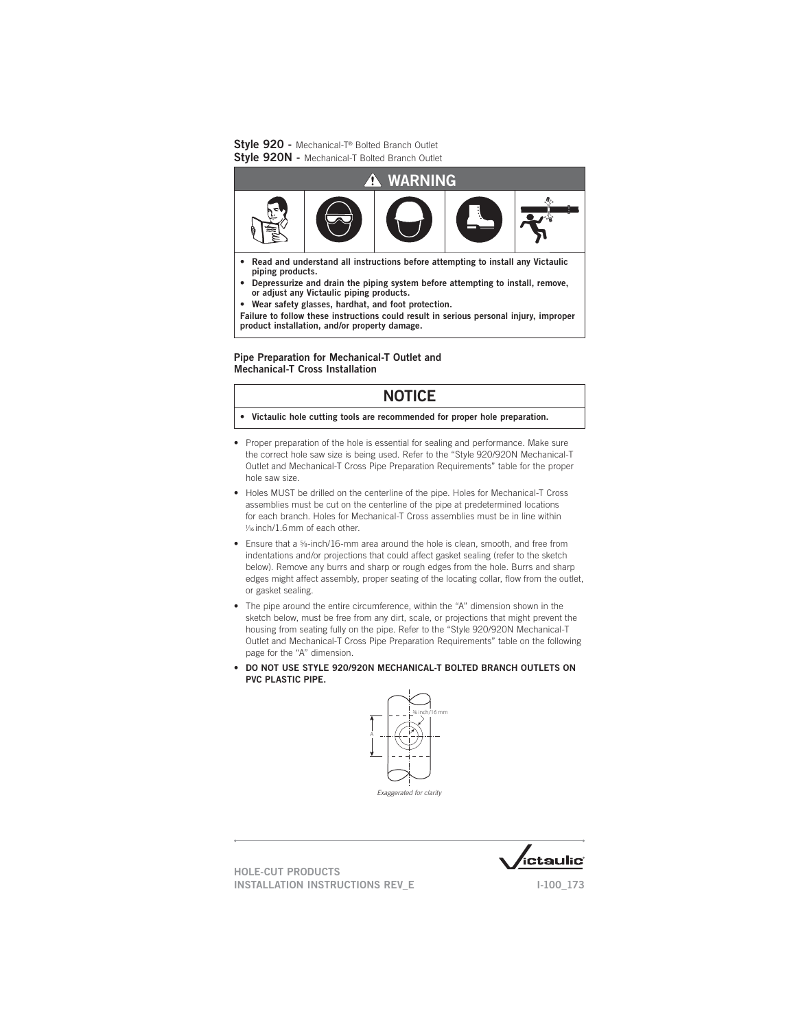

- Read and understand all instructions before attempting to install any Victaulic **piping products.**
- Depressurize and drain the piping system before attempting to install, remove, **or adjust any Victaulic piping products.**
- Wear safety glasses, hardhat, and foot protection.

Failure to follow these instructions could result in serious personal injury, improper **product installation, and/or property damage.**

### Pipe Preparation for Mechanical-T Outlet and **Mechanical-T Cross Installation**

# **NOTICE**

- Victaulic hole cutting tools are recommended for proper hole preparation.
- Proper preparation of the hole is essential for sealing and performance. Make sure the correct hole saw size is being used. Refer to the "Style 920/920N Mechanical-T Outlet and Mechanical-T Cross Pipe Preparation Requirements" table for the proper hole saw size.
- Holes MUST be drilled on the centerline of the pipe. Holes for Mechanical-T Cross assemblies must be cut on the centerline of the pipe at predetermined locations for each branch. Holes for Mechanical-T Cross assemblies must be in line within  $V_1$ 6 inch/1.6 mm of each other.
- Ensure that a <sup>5</sup>/8-inch/16-mm area around the hole is clean, smooth, and free from indentations and/or projections that could affect gasket sealing (refer to the sketch below). Remove any burrs and sharp or rough edges from the hole. Burrs and sharp edges might affect assembly, proper seating of the locating collar, flow from the outlet, or gasket sealing.
- The pipe around the entire circumference, within the "A" dimension shown in the sketch below, must be free from any dirt, scale, or projections that might prevent the housing from seating fully on the pipe. Refer to the "Style 920/920N Mechanical-T Outlet and Mechanical-T Cross Pipe Preparation Requirements" table on the following page for the "A" dimension.
- . DO NOT USE STYLE 920/920N MECHANICAL-T BOLTED BRANCH OUTLETS ON **PVC PLASTIC PIPE.**



Exaggerated for clarity

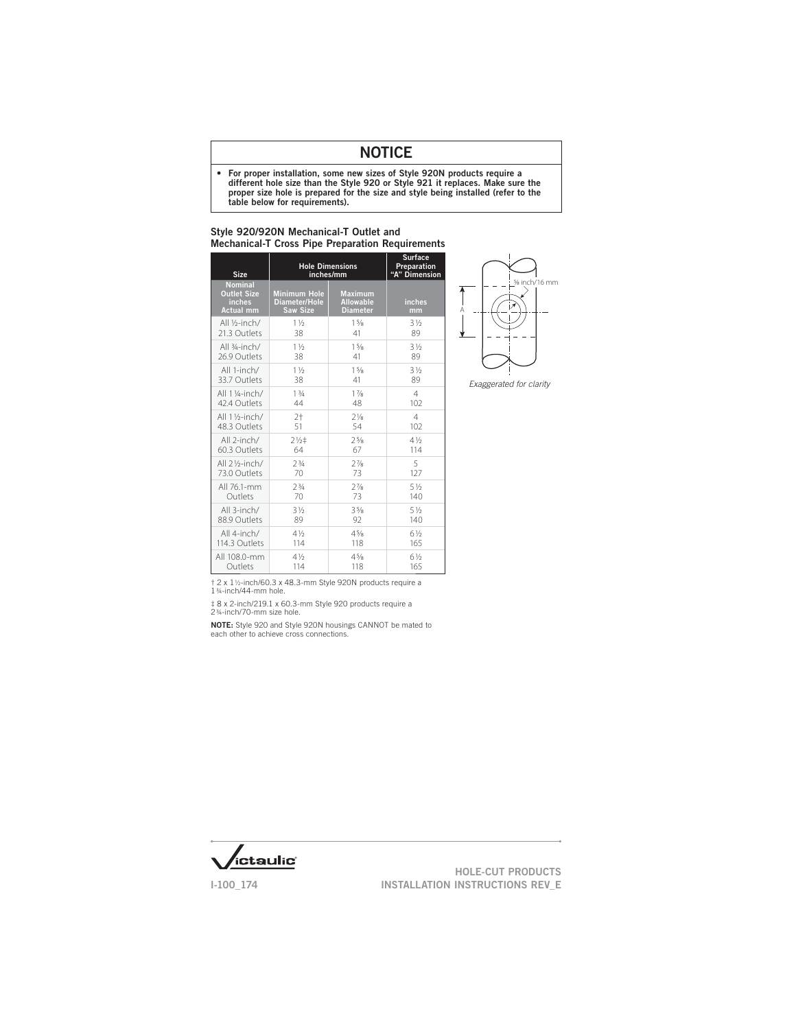# **NOTICE**

• For proper installation, some new sizes of Style 920N products require a different hole size than the Style 920 or Style 921 it replaces. Make sure the proper size hole is prepared for the size and style being installed (refer to the table below for requirements).

| <b>Size</b>                                                        | <b>Hole Dimensions</b><br>inches/mm                     | <b>Surface</b><br>Preparation<br>"A" Dimension        |                |
|--------------------------------------------------------------------|---------------------------------------------------------|-------------------------------------------------------|----------------|
| <b>Nominal</b><br><b>Outlet Size</b><br>inches<br><b>Actual mm</b> | <b>Minimum Hole</b><br>Diameter/Hole<br><b>Saw Size</b> | <b>Maximum</b><br><b>Allowable</b><br><b>Diameter</b> | inches<br>mm   |
| All 1/ <sub>2</sub> -inch/                                         | $1\frac{1}{2}$                                          | 15/8                                                  | $3\frac{1}{2}$ |
| 21.3 Outlets                                                       | 38                                                      | 41                                                    | 89             |
| All 3/4-inch/                                                      | $1\frac{1}{2}$                                          | 1 <sup>5</sup> /s                                     | $3\frac{1}{2}$ |
| 26.9 Outlets                                                       | 38                                                      | 41                                                    | 89             |
| All 1-inch/                                                        | $1\frac{1}{2}$                                          | 15/8                                                  | $3\frac{1}{2}$ |
| 33.7 Outlets                                                       | 38                                                      | 41                                                    | 89             |
| All 1 1/4-inch/                                                    | 13/4                                                    | $1\frac{7}{8}$                                        | $\overline{4}$ |
| 42.4 Outlets                                                       | 44                                                      | 48                                                    | 102            |
| All 11/ <sub>2</sub> -inch/                                        | $2+$                                                    | $7\frac{1}{8}$                                        | $\overline{4}$ |
| 48.3 Outlets                                                       | 51                                                      | 54                                                    | 102            |
| All 2-inch/                                                        | $2\frac{1}{2}$                                          | $2^{5/8}$                                             | $4\frac{1}{2}$ |
| 60.3 Outlets                                                       | 64                                                      | 67                                                    | 114            |
| All 21/ <sub>2</sub> -inch/                                        | 73/4                                                    | $7\frac{7}{8}$                                        | 5              |
| 73.0 Outlets                                                       | 70                                                      | 73                                                    | 127            |
| All 76.1-mm                                                        | 73/4                                                    | $7\frac{7}{8}$                                        | 51/2           |
| Outlets                                                            | 70                                                      | 73                                                    | 140            |
| All 3-inch/                                                        | $3\frac{1}{2}$                                          | 35/8                                                  | $5\frac{1}{2}$ |
| 88.9 Outlets                                                       | 89                                                      | 92                                                    | 140            |
| All 4-inch/                                                        | $4\frac{1}{2}$                                          | $4\frac{5}{8}$                                        | $6\frac{1}{2}$ |
| 114.3 Outlets                                                      | 114                                                     | 118                                                   | 165            |
| All 108.0-mm                                                       | $4\frac{1}{2}$                                          | 45/8                                                  | 61/2           |
| Outlets                                                            | 114                                                     | 118                                                   | 165            |

#### Style 920/920N Mechanical-T Outlet and Mechanical-T Cross Pipe Preparation Requirements



Exaggerated for clarity

† 2 x 1 ½-inch/60.3 x 48.3-mm Style 920N products require a 1 ¾-inch/44-mm hole.

‡ 8 x 2-inch/219.1 x 60.3-mm Style 920 products require a 2 ¾-inch/70-mm size hole.

NOTE: Style 920 and Style 920N housings CANNOT be mated to each other to achieve cross connections.

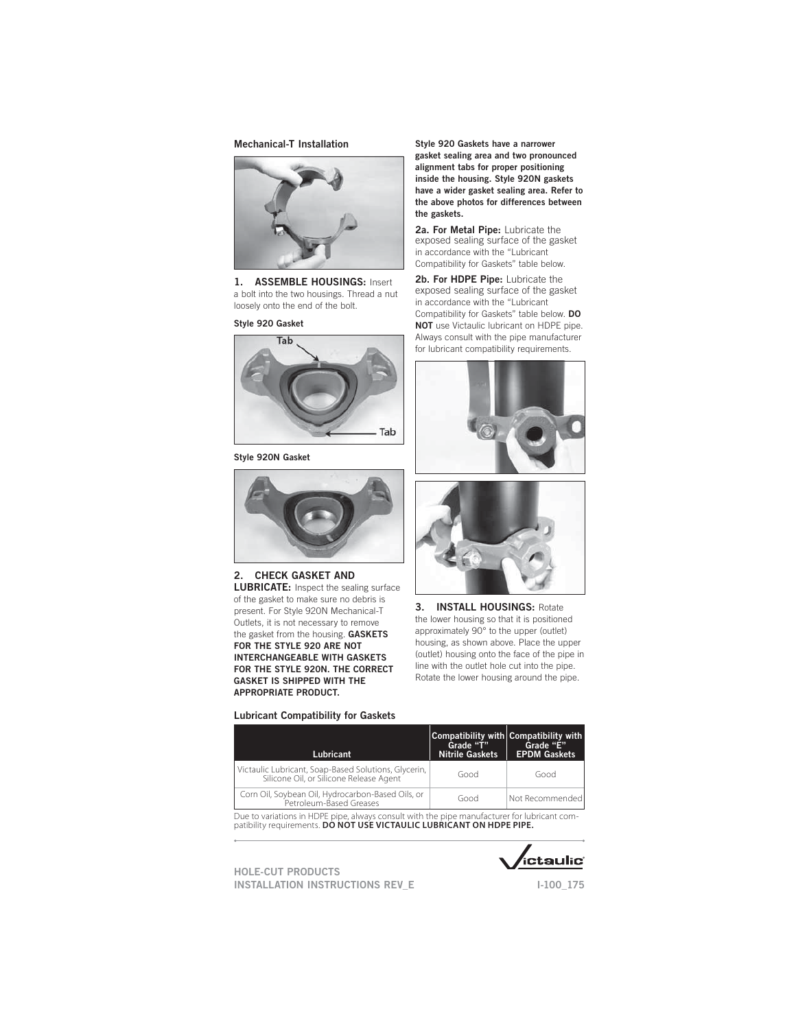### **Mechanical-T Installation**



#### 1. ASSEMBLE HOUSINGS: Insert a bolt into the two housings. Thread a nut loosely onto the end of the bolt.

#### Style 920 Gasket



#### Style 920N Gasket



## 2. CHECK GASKET AND

**LUBRICATE:** Inspect the sealing surface of the gasket to make sure no debris is present. For Style 920N Mechanical-T Outlets, it is not necessary to remove the gasket from the housing. **GASKETS** FOR THE STYLE 920 ARE NOT INTERCHANGEABLE WITH GASKETS FOR THE STYLE 920N. THE CORRECT **GASKET IS SHIPPED WITH THE** APPROPRIATE PRODUCT.

#### Style 920 Gaskets have a narrower gasket sealing area and two pronounced alignment tabs for proper positioning inside the housing. Style 920N gaskets have a wider gasket sealing area. Refer to the above photos for differences between the gaskets.

2a. For Metal Pipe: Lubricate the exposed sealing surface of the gasket in accordance with the "Lubricant Compatibility for Gaskets" table below.

2b. For HDPE Pipe: Lubricate the exposed sealing surface of the gasket in accordance with the "Lubricant Compatibility for Gaskets" table below. **DO NOT** use Victaulic lubricant on HDPE pipe. Always consult with the pipe manufacturer for lubricant compatibility requirements.





3. **INSTALL HOUSINGS: Rotate** the lower housing so that it is positioned approximately 90° to the upper (outlet) housing, as shown above. Place the upper (outlet) housing onto the face of the pipe in line with the outlet hole cut into the pipe. Rotate the lower housing around the pipe.

#### Lubricant Compatibility for Gaskets

| Lubricant                                                                                       | Grade "T"<br><b>Nitrile Gaskets</b> | Compatibility with Compatibility with<br>Grade "E"<br><b>EPDM Gaskets</b> |
|-------------------------------------------------------------------------------------------------|-------------------------------------|---------------------------------------------------------------------------|
| Victaulic Lubricant, Soap-Based Solutions, Glycerin,<br>Silicone Oil, or Silicone Release Agent | Good                                | Good                                                                      |
| Corn Oil, Soybean Oil, Hydrocarbon-Based Oils, or<br>Petroleum-Based Greases                    | Good                                | Not Recommended                                                           |

Due to variations in HDPE pipe, always consult with the pipe manufacturer for lubricant compatibility requirements. **DO NOT USE VICTAULIC LUBRICANT ON HDPE PIPE.**



 $1-100$  175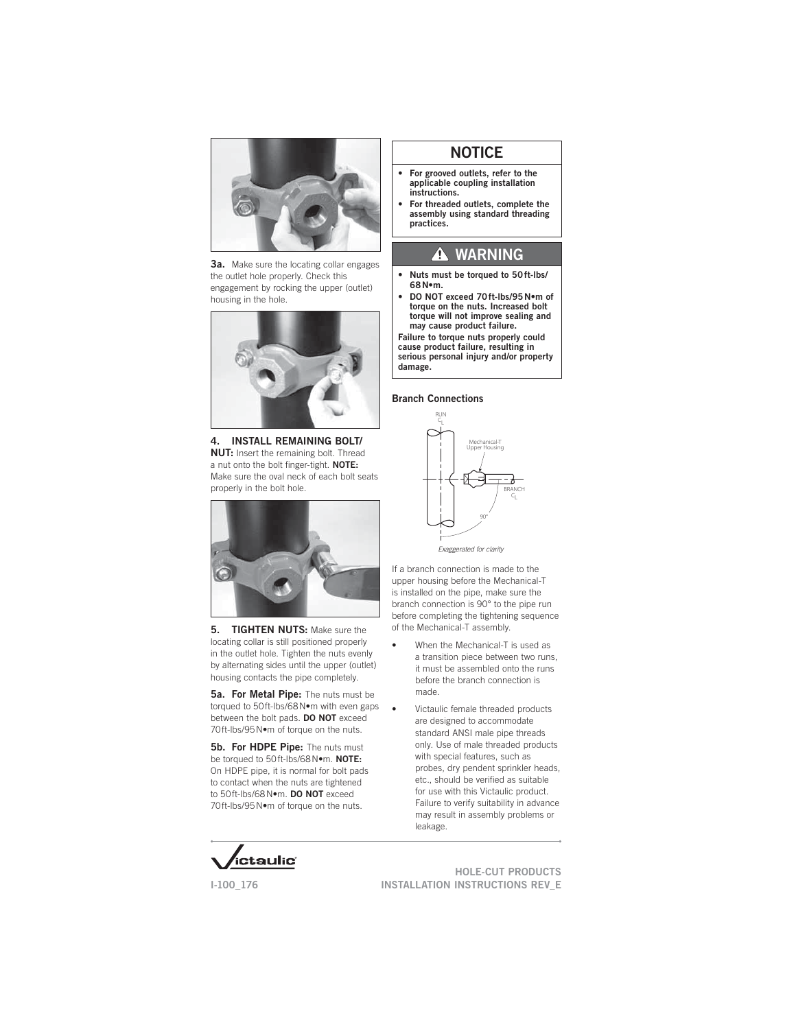

**3a.** Make sure the locating collar engages the outlet hole properly. Check this engagement by rocking the upper (outlet) housing in the hole.



4. INSTALL REMAINING BOLT/ **NUT:** Insert the remaining bolt. Thread a nut onto the bolt finger-tight. NOTE: Make sure the oval neck of each bolt seats properly in the bolt hole.



5. TIGHTEN NUTS: Make sure the locating collar is still positioned properly in the outlet hole. Tighten the nuts evenly by alternating sides until the upper (outlet) housing contacts the pipe completely.

5a. For Metal Pipe: The nuts must be torqued to 50ft-lbs/68 N•m with even gaps between the bolt pads. **DO NOT** exceed 70ft-lbs/95N.m of torque on the nuts.

5b. For HDPE Pipe: The nuts must be torqued to 50ft-lbs/68N.m. NOTE: On HDPE pipe, it is normal for bolt pads to contact when the nuts are tightened to 50ft-lbs/68N.m. DO NOT exceed 70ft-Ibs/95 N.m of torque on the nuts.

# **NOTICE**

- For grooved outlets, refer to the **applicable coupling installation instructions.**
- For threaded outlets, complete the **assembly using standard threading practices.**

# **A WARNING**

- Nuts must be torqued to 50ft-lbs/ 68N•m.
- DO NOT exceed 70 ft-lbs/95 Nom of **torque on the nuts. Increased bolt**  torque will not improve sealing and may cause product failure.

**Failure to torque nuts properly could**  cause product failure, resulting in **serious personal injury and/or property damage.**

### **Branch Connections**



Exaggerated for clarity

If a branch connection is made to the upper housing before the Mechanical-T is installed on the pipe, make sure the branch connection is 90° to the pipe run before completing the tightening sequence of the Mechanical-T assembly.

- When the Mechanical-T is used as a transition piece between two runs, it must be assembled onto the runs before the branch connection is made.
- Victaulic female threaded products are designed to accommodate standard ANSI male pipe threads only. Use of male threaded products with special features, such as probes, dry pendent sprinkler heads, etc., should be verified as suitable for use with this Victaulic product. Failure to verify suitability in advance may result in assembly problems or leakage.



 $1-100$  176